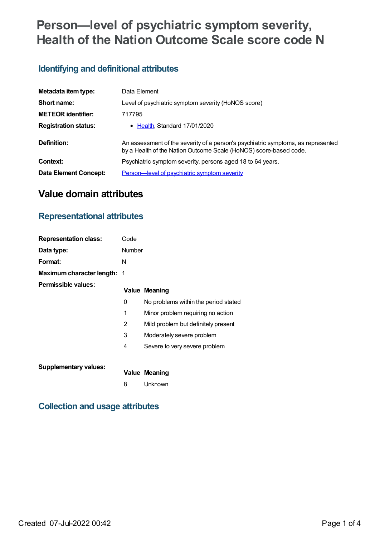# **Person—level of psychiatric symptom severity, Health of the Nation Outcome Scale score code N**

## **Identifying and definitional attributes**

| Metadata item type:          | Data Element                                                                                                                                          |
|------------------------------|-------------------------------------------------------------------------------------------------------------------------------------------------------|
| Short name:                  | Level of psychiatric symptom severity (HoNOS score)                                                                                                   |
| <b>METEOR</b> identifier:    | 717795                                                                                                                                                |
| <b>Registration status:</b>  | • Health, Standard 17/01/2020                                                                                                                         |
| Definition:                  | An assessment of the severity of a person's psychiatric symptoms, as represented<br>by a Health of the Nation Outcome Scale (HoNOS) score-based code. |
| Context:                     | Psychiatric symptom severity, persons aged 18 to 64 years.                                                                                            |
| <b>Data Element Concept:</b> | <b>Person—level of psychiatric symptom severity</b>                                                                                                   |

# **Value domain attributes**

### **Representational attributes**

| <b>Representation class:</b> | Code          |                                      |
|------------------------------|---------------|--------------------------------------|
| Data type:                   | <b>Number</b> |                                      |
| Format:                      | N             |                                      |
| Maximum character length:    | - 1           |                                      |
| Permissible values:          |               | <b>Value Meaning</b>                 |
|                              | 0             | No problems within the period stated |
|                              | 1             | Minor problem requiring no action    |
|                              | 2             | Mild problem but definitely present  |
|                              | 3             | Moderately severe problem            |
|                              | 4             | Severe to very severe problem        |
| <b>Supplementary values:</b> |               | Value Meaning                        |

8 Unknown

# **Collection and usage attributes**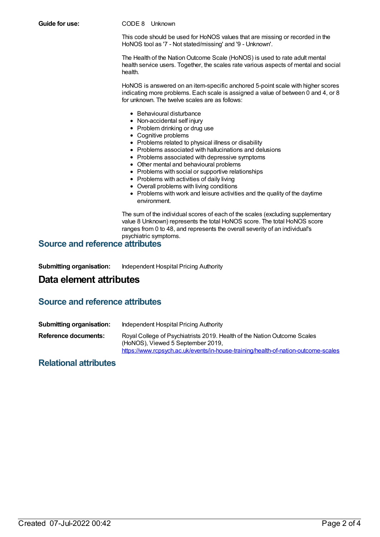**Guide for use:** CODE 8 Unknown

This code should be used for HoNOS values that are missing or recorded in the HoNOS tool as '7 - Not stated/missing' and '9 - Unknown'.

The Health of the Nation Outcome Scale (HoNOS) is used to rate adult mental health service users. Together, the scales rate various aspects of mental and social health.

HoNOS is answered on an item-specific anchored 5-point scale with higher scores indicating more problems. Each scale is assigned a value of between 0 and 4, or 8 for unknown. The twelve scales are as follows:

- Behavioural disturbance
- Non-accidental self injury
- Problem drinking or drug use
- Cognitive problems
- Problems related to physical illness or disability
- Problems associated with hallucinations and delusions
- Problems associated with depressive symptoms
- Other mental and behavioural problems
- Problems with social or supportive relationships
- Problems with activities of daily living
- Overall problems with living conditions
- Problems with work and leisure activities and the quality of the daytime environment.

The sum of the individual scores of each of the scales (excluding supplementary value 8 Unknown) represents the total HoNOS score. The total HoNOS score ranges from 0 to 48, and represents the overall severity of an individual's psychiatric symptoms.

#### **Source and reference attributes**

**Submitting organisation:** Independent Hospital Pricing Authority

### **Data element attributes**

### **Source and reference attributes**

| <b>Submitting organisation:</b> | Independent Hospital Pricing Authority                                                                                                                                                              |
|---------------------------------|-----------------------------------------------------------------------------------------------------------------------------------------------------------------------------------------------------|
| Reference documents:            | Royal College of Psychiatrists 2019. Health of the Nation Outcome Scales<br>(HoNOS), Viewed 5 September 2019,<br>https://www.rcpsych.ac.uk/events/in-house-training/health-of-nation-outcome-scales |

#### **Relational attributes**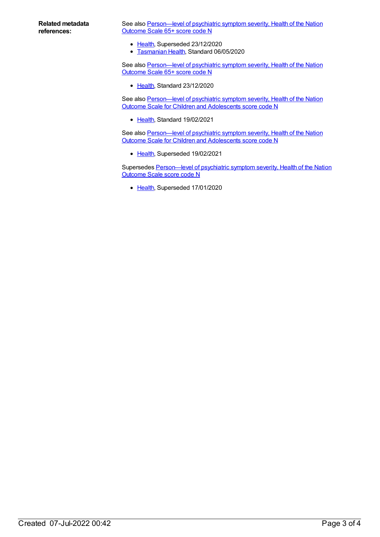See also Person-level of psychiatric symptom severity, Health of the Nation Outcome Scale 65+ score code N

- [Health](https://meteor.aihw.gov.au/RegistrationAuthority/12), Superseded 23/12/2020
- **[Tasmanian](https://meteor.aihw.gov.au/RegistrationAuthority/15) Health, Standard 06/05/2020**

See also Person-level of psychiatric symptom severity, Health of the Nation Outcome Scale 65+ score code N

• [Health](https://meteor.aihw.gov.au/RegistrationAuthority/12), Standard 23/12/2020

See also Person-level of psychiatric symptom severity, Health of the Nation Outcome Scale for Children and Adolescents score code N

• [Health](https://meteor.aihw.gov.au/RegistrationAuthority/12), Standard 19/02/2021

See also Person-level of psychiatric symptom severity, Health of the Nation Outcome Scale for Children and Adolescents score code N

• [Health](https://meteor.aihw.gov.au/RegistrationAuthority/12), Superseded 19/02/2021

Supersedes [Person—level](https://meteor.aihw.gov.au/content/676216) of psychiatric symptom severity, Health of the Nation Outcome Scale score code N

• [Health](https://meteor.aihw.gov.au/RegistrationAuthority/12), Superseded 17/01/2020